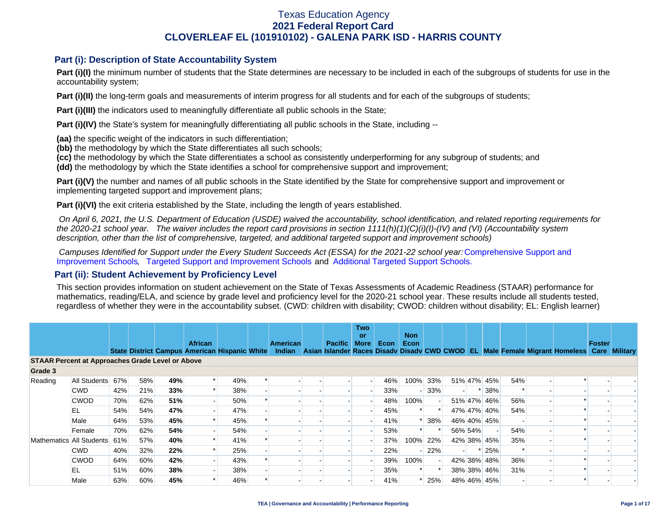### **Part (i): Description of State Accountability System**

Part (i)(I) the minimum number of students that the State determines are necessary to be included in each of the subgroups of students for use in the accountability system;

**Part (i)(II)** the long-term goals and measurements of interim progress for all students and for each of the subgroups of students;

**Part (i)(III)** the indicators used to meaningfully differentiate all public schools in the State;

**Part (i)(IV)** the State's system for meaningfully differentiating all public schools in the State, including --

**(aa)** the specific weight of the indicators in such differentiation;

**(bb)** the methodology by which the State differentiates all such schools;

**(cc)** the methodology by which the State differentiates a school as consistently underperforming for any subgroup of students; and

**(dd)** the methodology by which the State identifies a school for comprehensive support and improvement;

**Part (i)(V)** the number and names of all public schools in the State identified by the State for comprehensive support and improvement or implementing targeted support and improvement plans;

**Part (i)(VI)** the exit criteria established by the State, including the length of years established.

 *On April 6, 2021, the U.S. Department of Education (USDE) waived the accountability, school identification, and related reporting requirements for the 2020-21 school year. The waiver includes the report card provisions in section 1111(h)(1)(C)(i)(I)-(IV) and (VI) (Accountability system description, other than the list of comprehensive, targeted, and additional targeted support and improvement schools)* 

*Campuses Identified for Support under the Every Student Succeeds Act (ESSA) for the 2021-22 school year:* [Comprehensive Support and](https://tea.texas.gov/sites/default/files/comprehensive_support_2021.xlsx) [Improvement Schools](https://tea.texas.gov/sites/default/files/comprehensive_support_2021.xlsx), [Targeted Support and Improvement Schools](https://tea.texas.gov/sites/default/files/targeted_support_2021.xlsx) and [Additional Targeted Support Schools.](https://tea.texas.gov/sites/default/files/additional_targeted_support_2021.xlsx)

### **Part (ii): Student Achievement by Proficiency Level**

This section provides information on student achievement on the State of Texas Assessments of Academic Readiness (STAAR) performance for mathematics, reading/ELA, and science by grade level and proficiency level for the 2020-21 school year. These results include all students tested, regardless of whether they were in the accountability subset. (CWD: children with disability; CWOD: children without disability; EL: English learner)

|                          |                                                                                                                                                      |     |     |     |                                                                 |     |  |                           |  |                | <b>Two</b><br><b>or</b> |      | <b>Non</b> |        |         |             |     |  |        |  |
|--------------------------|------------------------------------------------------------------------------------------------------------------------------------------------------|-----|-----|-----|-----------------------------------------------------------------|-----|--|---------------------------|--|----------------|-------------------------|------|------------|--------|---------|-------------|-----|--|--------|--|
|                          |                                                                                                                                                      |     |     |     | <b>African</b><br>State District Campus American Hispanic White |     |  | <b>American</b><br>Indian |  | <b>Pacific</b> | <b>More</b>             | Econ | Econ       |        |         |             |     |  | Foster |  |
|                          | Asian Islander Races Disady Disady CWD CWOD EL Male Female Migrant Homeless Care Military<br><b>STAAR Percent at Approaches Grade Level or Above</b> |     |     |     |                                                                 |     |  |                           |  |                |                         |      |            |        |         |             |     |  |        |  |
| Grade 3                  |                                                                                                                                                      |     |     |     |                                                                 |     |  |                           |  |                |                         |      |            |        |         |             |     |  |        |  |
| Reading                  | All Students                                                                                                                                         | 67% | 58% | 49% |                                                                 | 49% |  |                           |  |                |                         | 46%  | 100%       | 33%    |         | 51% 47% 45% | 54% |  |        |  |
|                          | <b>CWD</b>                                                                                                                                           | 42% | 21% | 33% |                                                                 | 38% |  |                           |  |                |                         | 33%  |            | $-33%$ |         | * 38%       |     |  |        |  |
|                          | <b>CWOD</b>                                                                                                                                          | 70% | 62% | 51% |                                                                 | 50% |  |                           |  |                |                         | 48%  | 100%       |        |         | 51% 47% 46% | 56% |  |        |  |
|                          | EL                                                                                                                                                   | 54% | 54% | 47% |                                                                 | 47% |  |                           |  |                |                         | 45%  |            |        |         | 47% 47% 40% | 54% |  |        |  |
|                          | Male                                                                                                                                                 | 64% | 53% | 45% |                                                                 | 45% |  |                           |  |                |                         | 41%  |            | 38%    |         | 46% 40% 45% |     |  |        |  |
|                          | Female                                                                                                                                               | 70% | 62% | 54% |                                                                 | 54% |  |                           |  |                |                         | 53%  |            |        | 56% 54% |             | 54% |  |        |  |
| Mathematics All Students |                                                                                                                                                      | 61% | 57% | 40% |                                                                 | 41% |  |                           |  |                |                         | 37%  | 100%       | 22%    |         | 42% 38% 45% | 35% |  |        |  |
|                          | <b>CWD</b>                                                                                                                                           | 40% | 32% | 22% |                                                                 | 25% |  |                           |  |                |                         | 22%  |            | 22%    |         | $*$ 25%     |     |  |        |  |
|                          | <b>CWOD</b>                                                                                                                                          | 64% | 60% | 42% |                                                                 | 43% |  |                           |  |                |                         | 39%  | 100%       |        |         | 42% 38% 48% | 36% |  |        |  |
|                          | EL                                                                                                                                                   | 51% | 60% | 38% |                                                                 | 38% |  |                           |  |                |                         | 35%  |            |        |         | 38% 38% 46% | 31% |  |        |  |
|                          | Male                                                                                                                                                 | 63% | 60% | 45% |                                                                 | 46% |  |                           |  |                |                         | 41%  |            | 25%    |         | 48% 46% 45% |     |  |        |  |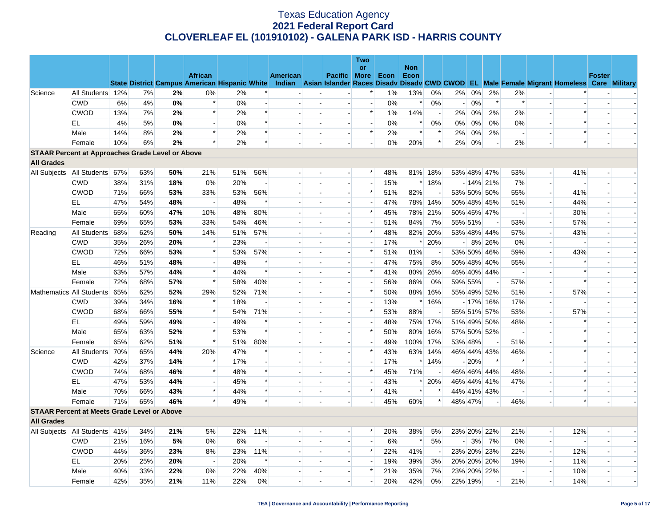|                                                         |                                   |     |     |     |                                                                        |     |        |          |                          |                          | <b>Two</b>               |       |            |                          |                          |         |             |                          |                          |                                                                                                  |               |                          |
|---------------------------------------------------------|-----------------------------------|-----|-----|-----|------------------------------------------------------------------------|-----|--------|----------|--------------------------|--------------------------|--------------------------|-------|------------|--------------------------|--------------------------|---------|-------------|--------------------------|--------------------------|--------------------------------------------------------------------------------------------------|---------------|--------------------------|
|                                                         |                                   |     |     |     |                                                                        |     |        |          |                          |                          | or                       |       | <b>Non</b> |                          |                          |         |             |                          |                          |                                                                                                  |               |                          |
|                                                         |                                   |     |     |     | <b>African</b><br><b>State District Campus American Hispanic White</b> |     |        | American |                          | Pacific More             |                          | Econ  | Econ       |                          |                          |         |             |                          |                          | Indian Asian Islander Races Disady Disady CWD CWOD EL Male Female Migrant Homeless Care Military | <b>Foster</b> |                          |
| Science                                                 | All Students 12%                  |     | 7%  | 2%  | 0%                                                                     | 2%  |        |          |                          |                          | *                        | $1\%$ | 13%        | 0%                       | 2%                       | $0\%$   | 2%          | 2%                       |                          |                                                                                                  |               |                          |
|                                                         | <b>CWD</b>                        | 6%  | 4%  | 0%  | $\ast$                                                                 | 0%  |        |          |                          |                          | $\overline{a}$           | 0%    | $\ast$     | 0%                       | $\overline{\phantom{0}}$ | 0%      | $\ast$      | $\ast$                   |                          |                                                                                                  |               |                          |
|                                                         | <b>CWOD</b>                       | 13% | 7%  | 2%  | $\ast$                                                                 | 2%  |        |          |                          |                          | $\ast$                   | 1%    | 14%        | $\overline{a}$           | 2%                       | $0\%$   | 2%          | 2%                       |                          |                                                                                                  |               |                          |
|                                                         | EL                                | 4%  | 5%  | 0%  | $\overline{\phantom{a}}$                                               | 0%  | $\ast$ |          |                          |                          | $\overline{a}$           | 0%    | $\ast$     | 0%                       | $0\%$                    | 0%      | 0%          | 0%                       |                          | $\ast$                                                                                           |               |                          |
|                                                         | Male                              | 14% | 8%  | 2%  | $\ast$                                                                 | 2%  |        |          |                          |                          | $\ast$                   | 2%    | $\ast$     | $\ast$                   | 2%                       | $0\%$   | 2%          | $\overline{\phantom{a}}$ |                          | $\ast$                                                                                           |               |                          |
|                                                         | Female                            | 10% | 6%  | 2%  | $\ast$                                                                 | 2%  | $\ast$ |          |                          |                          |                          | 0%    | 20%        | $\ast$                   | 2%                       | 0%      |             | 2%                       |                          | $\ast$                                                                                           |               |                          |
| <b>STAAR Percent at Approaches Grade Level or Above</b> |                                   |     |     |     |                                                                        |     |        |          |                          |                          |                          |       |            |                          |                          |         |             |                          |                          |                                                                                                  |               |                          |
| <b>All Grades</b>                                       |                                   |     |     |     |                                                                        |     |        |          |                          |                          |                          |       |            |                          |                          |         |             |                          |                          |                                                                                                  |               |                          |
| All Subjects                                            | All Students 67%                  |     | 63% | 50% | 21%                                                                    | 51% | 56%    |          |                          |                          | $\ast$                   | 48%   |            | 81% 18%                  |                          |         | 53% 48% 47% | 53%                      |                          | 41%                                                                                              |               |                          |
|                                                         | <b>CWD</b>                        | 38% | 31% | 18% | 0%                                                                     | 20% |        |          |                          | $\overline{\phantom{a}}$ | $\overline{\phantom{a}}$ | 15%   |            | $*18%$                   |                          |         | $-14\%$ 21% | 7%                       |                          |                                                                                                  |               |                          |
|                                                         | <b>CWOD</b>                       | 71% | 66% | 53% | 33%                                                                    | 53% | 56%    |          |                          | $\overline{a}$           | $\ast$                   | 51%   | 82%        | $\overline{\phantom{a}}$ |                          |         | 53% 50% 50% | 55%                      | $\overline{\phantom{a}}$ | 41%                                                                                              |               |                          |
|                                                         | EL                                | 47% | 54% | 48% | $\overline{\phantom{a}}$                                               | 48% | $\ast$ |          |                          |                          | $\overline{\phantom{a}}$ | 47%   |            | 78% 14%                  |                          |         | 50% 48% 45% | 51%                      |                          | 44%                                                                                              |               |                          |
|                                                         | Male                              | 65% | 60% | 47% | 10%                                                                    | 48% | 80%    |          |                          | $\overline{a}$           | *                        | 45%   |            | 78% 21%                  |                          |         | 50% 45% 47% | $\overline{\phantom{a}}$ | $\overline{a}$           | 30%                                                                                              |               |                          |
|                                                         | Female                            | 69% | 65% | 53% | 33%                                                                    | 54% | 46%    |          |                          |                          | $\overline{a}$           | 51%   | 84%        | 7%                       |                          | 55% 51% |             | 53%                      |                          | 57%                                                                                              |               |                          |
| Reading                                                 | All Students                      | 68% | 62% | 50% | 14%                                                                    | 51% | 57%    |          |                          | $\overline{a}$           | $\ast$                   | 48%   |            | 82% 20%                  |                          |         | 53% 48% 44% | 57%                      | $\overline{a}$           | 43%                                                                                              |               |                          |
|                                                         | <b>CWD</b>                        | 35% | 26% | 20% | $\ast$                                                                 | 23% |        |          |                          |                          | $\blacksquare$           | 17%   | $\ast$     | 20%                      | -1                       |         | 8% 26%      | $0\%$                    |                          |                                                                                                  |               |                          |
|                                                         | <b>CWOD</b>                       | 72% | 66% | 53% | $\ast$                                                                 | 53% | 57%    |          |                          |                          | $\ast$                   | 51%   | 81%        |                          |                          |         | 53% 50% 46% | 59%                      |                          | 43%                                                                                              |               |                          |
|                                                         | EL                                | 46% | 51% | 48% | $\overline{\phantom{a}}$                                               | 48% |        |          |                          |                          | $\blacksquare$           | 47%   | 75%        | 8%                       |                          |         | 50% 48% 40% | 55%                      |                          | $\ast$                                                                                           |               |                          |
|                                                         | Male                              | 63% | 57% | 44% | $\ast$                                                                 | 44% | $\ast$ |          |                          | $\overline{a}$           | $\ast$                   | 41%   | 80%        | 26%                      |                          |         | 46% 40% 44% | $\overline{\phantom{a}}$ |                          | $\ast$                                                                                           |               |                          |
|                                                         | Female                            | 72% | 68% | 57% | $\ast$                                                                 | 58% | 40%    |          |                          |                          |                          | 56%   | 86%        | 0%                       |                          | 59% 55% |             | 57%                      | $\overline{a}$           | $\ast$                                                                                           |               |                          |
|                                                         | Mathematics All Students          | 65% | 62% | 52% | 29%                                                                    | 52% | 71%    |          |                          | $\overline{a}$           | $\ast$                   | 50%   |            | 88% 16%                  |                          |         | 55% 49% 52% | 51%                      |                          | 57%                                                                                              |               |                          |
|                                                         | <b>CWD</b>                        | 39% | 34% | 16% | $\ast$                                                                 | 18% |        |          |                          | $\overline{\phantom{a}}$ | $\overline{\phantom{a}}$ | 13%   |            | $*$ 16%                  |                          |         | $-17\%$ 16% | 17%                      |                          |                                                                                                  |               |                          |
|                                                         | <b>CWOD</b>                       | 68% | 66% | 55% | $\ast$                                                                 | 54% | 71%    |          |                          |                          | $\ast$                   | 53%   | 88%        |                          |                          |         | 55% 51% 57% | 53%                      |                          | 57%                                                                                              |               |                          |
|                                                         | EL                                | 49% | 59% | 49% | $\overline{a}$                                                         | 49% | $\ast$ |          |                          | $\blacksquare$           |                          | 48%   |            | 75% 17%                  |                          |         | 51% 49% 50% | 48%                      | $\overline{\phantom{a}}$ | $\ast$                                                                                           |               |                          |
|                                                         | Male                              | 65% | 63% | 52% | $\ast$                                                                 | 53% | $\ast$ |          |                          |                          | $\ast$                   | 50%   | 80%        | 16%                      |                          |         | 57% 50% 52% | $\sim$                   |                          |                                                                                                  |               |                          |
|                                                         | Female                            | 65% | 62% | 51% | $\ast$                                                                 | 51% | 80%    |          |                          |                          |                          | 49%   | 100% 17%   |                          | 53% 48%                  |         |             | 51%                      |                          |                                                                                                  |               |                          |
| Science                                                 | All Students                      | 70% | 65% | 44% | 20%                                                                    | 47% |        |          |                          | $\overline{a}$           | $\ast$                   | 43%   |            | 63% 14%                  |                          |         | 46% 44% 43% | 46%                      |                          | $\ast$                                                                                           |               |                          |
|                                                         | <b>CWD</b>                        | 42% | 37% | 14% | $\ast$                                                                 | 17% |        |          |                          | $\overline{\phantom{a}}$ | $\overline{\phantom{a}}$ | 17%   |            | $*14%$                   |                          | $-20%$  | $\ast$      | $\ast$                   |                          |                                                                                                  |               |                          |
|                                                         | <b>CWOD</b>                       | 74% | 68% | 46% | $\ast$                                                                 | 48% | $\ast$ |          |                          | $\overline{\phantom{a}}$ | $\ast$                   | 45%   | 71%        | $\overline{\phantom{a}}$ |                          |         | 46% 46% 44% | 48%                      |                          | $\ast$                                                                                           |               |                          |
|                                                         | <b>EL</b>                         | 47% | 53% | 44% |                                                                        | 45% |        |          |                          |                          |                          | 43%   | $\ast$     | 20%                      |                          |         | 46% 44% 41% | 47%                      |                          | $\ast$                                                                                           |               |                          |
|                                                         | Male                              | 70% | 66% | 43% | $\ast$                                                                 | 44% | $\ast$ |          | $\overline{\phantom{a}}$ | $\overline{a}$           | $\ast$                   | 41%   | $\ast$     |                          |                          |         | 44% 41% 43% | $\overline{\phantom{a}}$ | $\overline{\phantom{a}}$ | $\ast$                                                                                           |               |                          |
|                                                         | Female                            | 71% | 65% | 46% | $\ast$                                                                 | 49% | $\ast$ |          |                          |                          |                          | 45%   | 60%        | $\ast$                   | 48% 47%                  |         |             | 46%                      |                          | $\ast$                                                                                           |               |                          |
| <b>STAAR Percent at Meets Grade Level or Above</b>      |                                   |     |     |     |                                                                        |     |        |          |                          |                          |                          |       |            |                          |                          |         |             |                          |                          |                                                                                                  |               |                          |
| <b>All Grades</b>                                       |                                   |     |     |     |                                                                        |     |        |          |                          |                          |                          |       |            |                          |                          |         |             |                          |                          |                                                                                                  |               |                          |
|                                                         | All Subjects   All Students   41% |     | 34% | 21% | 5%                                                                     | 22% | 11%    |          |                          |                          | *                        | 20%   | 38%        | 5%                       |                          |         | 23% 20% 22% | 21%                      | $\overline{a}$           | 12%                                                                                              |               |                          |
|                                                         | <b>CWD</b>                        | 21% | 16% | 5%  | 0%                                                                     | 6%  |        |          |                          |                          | $\overline{a}$           | 6%    | $\ast$     | 5%                       | $-1$                     | 3%      | 7%          | 0%                       |                          |                                                                                                  |               |                          |
|                                                         | <b>CWOD</b>                       | 44% | 36% | 23% | 8%                                                                     | 23% | 11%    |          |                          |                          | $\ast$                   | 22%   | 41%        |                          |                          |         | 23% 20% 23% | 22%                      |                          | 12%                                                                                              |               |                          |
|                                                         | EL                                | 20% | 25% | 20% | $\sim$                                                                 | 20% | $\ast$ |          |                          |                          |                          | 19%   | 39%        | 3%                       |                          |         | 20% 20% 20% | 19%                      | $\blacksquare$           | 11%                                                                                              |               |                          |
|                                                         | Male                              | 40% | 33% | 22% | 0%                                                                     | 22% | 40%    |          |                          |                          | $\ast$                   | 21%   | 35%        | 7%                       |                          |         | 23% 20% 22% |                          |                          | 10%                                                                                              |               |                          |
|                                                         | Female                            | 42% | 35% | 21% | 11%                                                                    | 22% | $0\%$  |          |                          |                          |                          | 20%   | 42%        | 0%                       | 22% 19%                  |         |             | 21%                      |                          | 14%                                                                                              |               | $\overline{\phantom{a}}$ |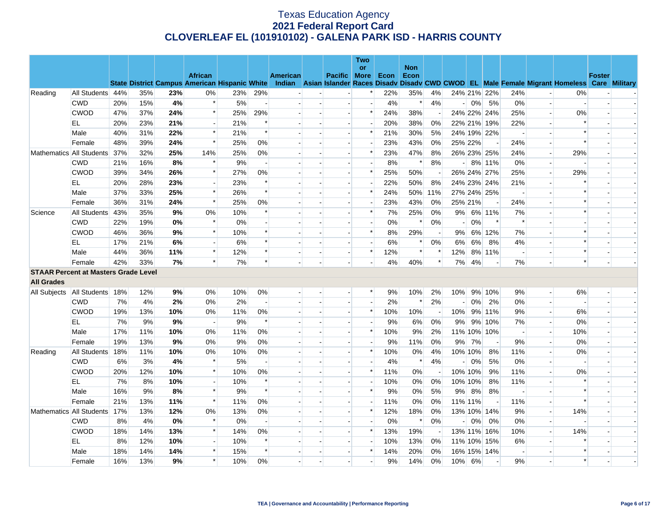|                                             |                          |     |     |     |                                                      |       |                          |                 |                          | Two                      |      |                    |                          |                |         |                          |                          |                          |                                                                                                  |               |  |
|---------------------------------------------|--------------------------|-----|-----|-----|------------------------------------------------------|-------|--------------------------|-----------------|--------------------------|--------------------------|------|--------------------|--------------------------|----------------|---------|--------------------------|--------------------------|--------------------------|--------------------------------------------------------------------------------------------------|---------------|--|
|                                             |                          |     |     |     | <b>African</b>                                       |       |                          | <b>American</b> | Pacific More             | <b>or</b>                | Econ | <b>Non</b><br>Econ |                          |                |         |                          |                          |                          |                                                                                                  | <b>Foster</b> |  |
|                                             |                          |     |     |     | <b>State District Campus American Hispanic White</b> |       |                          |                 |                          |                          |      |                    |                          |                |         |                          |                          |                          | Indian Asian Islander Races Disady Disady CWD CWOD EL Male Female Migrant Homeless Care Military |               |  |
| Reading                                     | All Students 44%         |     | 35% | 23% | 0%                                                   | 23%   | 29%                      |                 |                          | *                        | 22%  | 35%                | 4%                       |                |         | 24% 21% 22%              | 24%                      | $\overline{\phantom{a}}$ | 0%                                                                                               |               |  |
|                                             | <b>CWD</b>               | 20% | 15% | 4%  | $\ast$                                               | 5%    | $\overline{\phantom{a}}$ |                 | $\overline{\phantom{a}}$ | $\overline{\phantom{a}}$ | 4%   | $\ast$             | 4%                       | $\overline{a}$ | 0%      | 5%                       | 0%                       | $\overline{\phantom{a}}$ |                                                                                                  |               |  |
|                                             | <b>CWOD</b>              | 47% | 37% | 24% | $\ast$                                               | 25%   | 29%                      |                 |                          | $\ast$                   | 24%  | 38%                |                          |                |         | 24% 22% 24%              | 25%                      | $\overline{a}$           | 0%                                                                                               |               |  |
|                                             | EL                       | 20% | 23% | 21% | $\sim$                                               | 21%   | $\ast$                   |                 | $\overline{a}$           |                          | 20%  | 38%                | 0%                       |                |         | 22% 21% 19%              | 22%                      | $\overline{a}$           | $\ast$                                                                                           |               |  |
|                                             | Male                     | 40% | 31% | 22% | $\ast$                                               | 21%   | $\ast$                   |                 |                          | $\ast$                   | 21%  | 30%                | 5%                       |                |         | 24% 19% 22%              |                          | $\blacksquare$           |                                                                                                  |               |  |
|                                             | Female                   | 48% | 39% | 24% | $\ast$                                               | 25%   | 0%                       |                 |                          |                          | 23%  | 43%                | $0\%$                    |                | 25% 22% | $\overline{\phantom{a}}$ | 24%                      |                          | $\ast$                                                                                           |               |  |
|                                             | Mathematics All Students | 37% | 32% | 25% | 14%                                                  | 25%   | 0%                       |                 | $\overline{a}$           | $\ast$                   | 23%  | 47%                | 8%                       |                |         | 26% 23% 25%              | 24%                      | $\overline{\phantom{a}}$ | 29%                                                                                              |               |  |
|                                             | <b>CWD</b>               | 21% | 16% | 8%  | $\ast$                                               | 9%    |                          |                 |                          |                          | 8%   | $\ast$             | 8%                       |                |         | $-8\%$ 11%               | 0%                       | $\overline{\phantom{a}}$ |                                                                                                  |               |  |
|                                             | <b>CWOD</b>              | 39% | 34% | 26% | $\ast$                                               | 27%   | 0%                       |                 |                          | $\ast$                   | 25%  | 50%                |                          |                |         | 26% 24% 27%              | 25%                      | $\overline{a}$           | 29%                                                                                              |               |  |
|                                             | EL                       | 20% | 28% | 23% |                                                      | 23%   | $\ast$                   |                 |                          |                          | 22%  | 50%                | 8%                       |                |         | 24% 23% 24%              | 21%                      | $\overline{\phantom{a}}$ |                                                                                                  |               |  |
|                                             | Male                     | 37% | 33% | 25% | $\ast$                                               | 26%   | $\ast$                   |                 |                          | $\ast$                   | 24%  | 50%                | 11%                      |                |         | 27% 24% 25%              | $\overline{\phantom{a}}$ | $\overline{a}$           | $\ast$                                                                                           |               |  |
|                                             | Female                   | 36% | 31% | 24% | $\ast$                                               | 25%   | 0%                       |                 |                          |                          | 23%  | 43%                | 0%                       |                | 25% 21% | $\overline{\phantom{a}}$ | 24%                      | $\blacksquare$           |                                                                                                  |               |  |
| Science                                     | All Students             | 43% | 35% | 9%  | 0%                                                   | 10%   | $\ast$                   |                 |                          | $\ast$                   | 7%   | 25%                | 0%                       | 9%             |         | 6% 11%                   | 7%                       | $\blacksquare$           | $\ast$                                                                                           |               |  |
|                                             | <b>CWD</b>               | 22% | 19% | 0%  | $\ast$                                               | $0\%$ |                          |                 |                          |                          | 0%   | $\ast$             | 0%                       |                | 0%      | $\ast$                   | $\ast$                   | $\overline{\phantom{a}}$ |                                                                                                  |               |  |
|                                             | <b>CWOD</b>              | 46% | 36% | 9%  | $\ast$                                               | 10%   | $\ast$                   |                 |                          | $\ast$                   | 8%   | 29%                | $\overline{\phantom{a}}$ | 9%             |         | 6% 12%                   | 7%                       | $\overline{\phantom{a}}$ |                                                                                                  |               |  |
|                                             | EL                       | 17% | 21% | 6%  |                                                      | 6%    | $\ast$                   |                 |                          | $\overline{a}$           | 6%   | $\ast$             | 0%                       | 6%             | 6%      | 8%                       | 4%                       |                          |                                                                                                  |               |  |
|                                             | Male                     | 44% | 36% | 11% | $\ast$                                               | 12%   | $\ast$                   |                 |                          | $\ast$                   | 12%  | $\ast$             | $\ast$                   | 12%            |         | 8% 11%                   | $\overline{\phantom{a}}$ | $\blacksquare$           | $\ast$                                                                                           |               |  |
|                                             | Female                   | 42% | 33% | 7%  | $\ast$                                               | 7%    | $\ast$                   |                 |                          |                          | 4%   | 40%                | $\ast$                   | 7%             | 4%      | $\overline{\phantom{a}}$ | 7%                       |                          | $\ast$                                                                                           |               |  |
| <b>STAAR Percent at Masters Grade Level</b> |                          |     |     |     |                                                      |       |                          |                 |                          |                          |      |                    |                          |                |         |                          |                          |                          |                                                                                                  |               |  |
| <b>All Grades</b>                           |                          |     |     |     |                                                      |       |                          |                 |                          |                          |      |                    |                          |                |         |                          |                          |                          |                                                                                                  |               |  |
| All Subjects                                | All Students             | 18% | 12% | 9%  | 0%                                                   | 10%   | 0%                       |                 |                          | $\ast$                   | 9%   | 10%                | 2%                       | 10%            |         | 9% 10%                   | 9%                       | $\overline{a}$           | 6%                                                                                               |               |  |
|                                             | <b>CWD</b>               | 7%  | 4%  | 2%  | 0%                                                   | 2%    | $\overline{\phantom{a}}$ |                 |                          |                          | 2%   | $\ast$             | 2%                       |                | 0%      | 2%                       | 0%                       | $\blacksquare$           |                                                                                                  |               |  |
|                                             | <b>CWOD</b>              | 19% | 13% | 10% | 0%                                                   | 11%   | 0%                       |                 |                          | $\ast$                   | 10%  | 10%                | $\overline{a}$           | 10%            |         | 9% 11%                   | 9%                       | $\overline{\phantom{a}}$ | 6%                                                                                               |               |  |
|                                             | EL.                      | 7%  | 9%  | 9%  | $\overline{a}$                                       | 9%    | $\ast$                   |                 |                          |                          | 9%   | 6%                 | 0%                       | 9%             |         | 9% 10%                   | 7%                       | $\overline{a}$           | 0%                                                                                               |               |  |
|                                             | Male                     | 17% | 11% | 10% | 0%                                                   | 11%   | 0%                       |                 |                          | $\ast$                   | 10%  | 9%                 | 2%                       |                |         | 11% 10% 10%              | $\overline{\phantom{a}}$ | $\overline{\phantom{a}}$ | 10%                                                                                              |               |  |
|                                             | Female                   | 19% | 13% | 9%  | 0%                                                   | 9%    | 0%                       |                 |                          |                          | 9%   | 11%                | 0%                       | 9%             | 7%      | $\overline{\phantom{a}}$ | 9%                       | $\overline{\phantom{a}}$ | 0%                                                                                               |               |  |
| Reading                                     | All Students             | 18% | 11% | 10% | 0%                                                   | 10%   | 0%                       |                 |                          | $\ast$                   | 10%  | $0\%$              | 4%                       |                | 10% 10% | 8%                       | 11%                      | $\overline{\phantom{a}}$ | 0%                                                                                               |               |  |
|                                             | <b>CWD</b>               | 6%  | 3%  | 4%  | $\ast$                                               | 5%    |                          |                 |                          |                          | 4%   | $\ast$             | 4%                       | $\overline{a}$ | 0%      | 5%                       | 0%                       |                          |                                                                                                  |               |  |
|                                             | <b>CWOD</b>              | 20% | 12% | 10% | $\ast$                                               | 10%   | 0%                       |                 |                          | $\ast$                   | 11%  | 0%                 |                          |                | 10% 10% | 9%                       | 11%                      | $\overline{\phantom{a}}$ | 0%                                                                                               |               |  |
|                                             | EL                       | 7%  | 8%  | 10% | $\overline{\phantom{a}}$                             | 10%   | $\ast$                   |                 |                          |                          | 10%  | $0\%$              | 0%                       |                | 10% 10% | 8%                       | 11%                      | $\overline{\phantom{a}}$ |                                                                                                  |               |  |
|                                             | Male                     | 16% | 9%  | 8%  | $\ast$                                               | 9%    | $\ast$                   |                 |                          | $\ast$                   | 9%   | 0%                 | 5%                       | 9%             | 8%      | 8%                       | $\overline{\phantom{a}}$ | $\overline{a}$           |                                                                                                  |               |  |
|                                             | Female                   | 21% | 13% | 11% | $\ast$                                               | 11%   | 0%                       |                 |                          |                          | 11%  | $0\%$              | 0%                       |                | 11% 11% | $\overline{\phantom{a}}$ | 11%                      | $\overline{\phantom{a}}$ | ∗                                                                                                |               |  |
|                                             | Mathematics All Students | 17% | 13% | 12% | 0%                                                   | 13%   | 0%                       |                 |                          | $\ast$                   | 12%  | 18%                | 0%                       |                |         | 13% 10% 14%              | 9%                       | $\blacksquare$           | 14%                                                                                              |               |  |
|                                             | <b>CWD</b>               | 8%  | 4%  | 0%  | $\ast$                                               | 0%    | ÷,                       |                 |                          |                          | 0%   | $\ast$             | 0%                       |                | 0%      | 0%                       | 0%                       | $\overline{a}$           |                                                                                                  |               |  |
|                                             | <b>CWOD</b>              | 18% | 14% | 13% | $\ast$                                               | 14%   | 0%                       |                 |                          | $\ast$                   | 13%  | 19%                |                          |                |         | 13% 11% 16%              | 10%                      | $\overline{\phantom{a}}$ | 14%                                                                                              |               |  |
|                                             | EL                       | 8%  | 12% | 10% |                                                      | 10%   | $\ast$                   |                 |                          |                          | 10%  | 13%                | $0\%$                    |                |         | 11% 10% 15%              | 6%                       | $\blacksquare$           |                                                                                                  |               |  |
|                                             | Male                     | 18% | 14% | 14% | $\ast$                                               | 15%   | $\ast$                   |                 |                          | $\ast$                   | 14%  | 20%                | 0%                       |                |         | 16% 15% 14%              | $\overline{\phantom{a}}$ | $\overline{\phantom{a}}$ | $\ast$                                                                                           |               |  |
|                                             | Female                   | 16% | 13% | 9%  | $\ast$                                               | 10%   | 0%                       |                 |                          |                          | 9%   | 14%                | 0%                       | 10%            | 6%      | $\blacksquare$           | 9%                       |                          | $\ast$                                                                                           |               |  |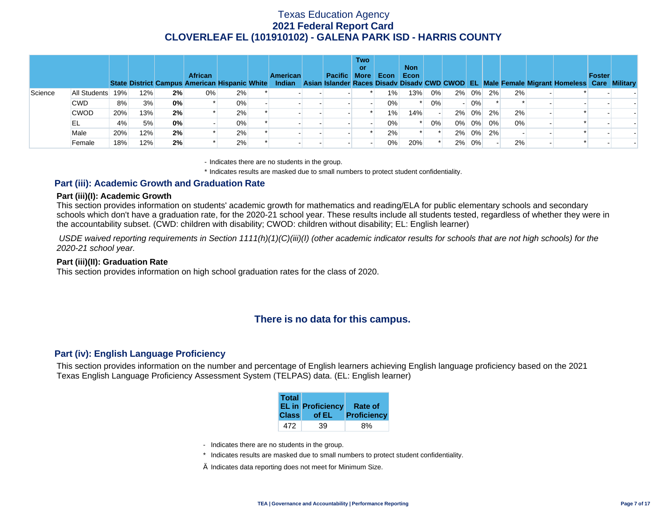|         |              |     |     |    | <b>African</b><br><b>State District Campus American Hispanic White</b> |    | <b>American</b> | Pacific More | <b>Two</b><br>or | Econ  | <b>Non</b><br>Econ |    |       |          |    |    | Indian Asian Islander Races Disady Disady CWD CWOD EL Male Female Migrant Homeless Care Military | Foster |  |
|---------|--------------|-----|-----|----|------------------------------------------------------------------------|----|-----------------|--------------|------------------|-------|--------------------|----|-------|----------|----|----|--------------------------------------------------------------------------------------------------|--------|--|
| Science | All Students | 19% | 12% | 2% | $0\%$                                                                  | 2% |                 |              |                  | $1\%$ | 13%                | 0% |       | 2% 0%    | 2% | 2% |                                                                                                  |        |  |
|         | <b>CWD</b>   | 8%  | 3%  | 0% |                                                                        | 0% |                 |              |                  | $0\%$ |                    | 0% |       | 0%       |    |    |                                                                                                  |        |  |
|         | <b>CWOD</b>  | 20% | 13% | 2% |                                                                        | 2% |                 |              |                  | 1%    | 14%                |    | $2\%$ | 0%       | 2% | 2% |                                                                                                  |        |  |
|         | EL           | 4%  | 5%  | 0% |                                                                        | 0% |                 |              |                  | $0\%$ |                    | 0% |       | 0% 0%    | 0% | 0% |                                                                                                  |        |  |
|         | Male         | 20% | 12% | 2% |                                                                        | 2% |                 |              |                  | 2%    |                    |    |       | $2\%$ 0% | 2% |    |                                                                                                  |        |  |
|         | Female       | 18% | 12% | 2% |                                                                        | 2% |                 |              |                  | $0\%$ | 20%                |    |       | 2% 0%    |    | 2% |                                                                                                  |        |  |

- Indicates there are no students in the group.

\* Indicates results are masked due to small numbers to protect student confidentiality.

### **Part (iii): Academic Growth and Graduation Rate**

#### **Part (iii)(I): Academic Growth**

This section provides information on students' academic growth for mathematics and reading/ELA for public elementary schools and secondary schools which don't have a graduation rate, for the 2020-21 school year. These results include all students tested, regardless of whether they were in the accountability subset. (CWD: children with disability; CWOD: children without disability; EL: English learner)

 *USDE waived reporting requirements in Section 1111(h)(1)(C)(iii)(I) (other academic indicator results for schools that are not high schools) for the 2020-21 school year.* 

#### **Part (iii)(II): Graduation Rate**

This section provides information on high school graduation rates for the class of 2020.

# **There is no data for this campus.**

### **Part (iv): English Language Proficiency**

This section provides information on the number and percentage of English learners achieving English language proficiency based on the 2021 Texas English Language Proficiency Assessment System (TELPAS) data. (EL: English learner)

| <b>Total</b> | <b>EL in Proficiency</b> | <b>Rate of</b> |
|--------------|--------------------------|----------------|
| <b>Class</b> | of EL                    | Proficiency    |
| 472          | 39                       |                |

- Indicates there are no students in the group.
- \* Indicates results are masked due to small numbers to protect student confidentiality.
- $\diamond$  Indicates data reporting does not meet for Minimum Size.